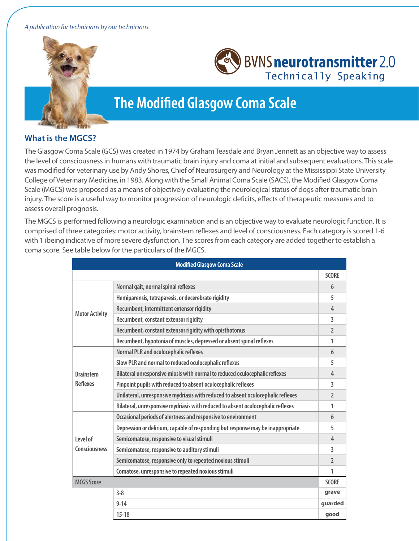#### A publication for technicians by our technicians.





# **The Modified Glasgow Coma Scale**

#### **What is the MGCS?**

The Glasgow Coma Scale (GCS) was created in 1974 by Graham Teasdale and Bryan Jennett as an objective way to assess the level of consciousness in humans with traumatic brain injury and coma at initial and subsequent evaluations. This scale was modified for veterinary use by Andy Shores, Chief of Neurosurgery and Neurology at the Mississippi State University College of Veterinary Medicine, in 1983. Along with the Small Animal Coma Scale (SACS), the Modified Glasgow Coma Scale (MGCS) was proposed as a means of objectively evaluating the neurological status of dogs after traumatic brain injury. The score is a useful way to monitor progression of neurologic deficits, effects of therapeutic measures and to assess overall prognosis.

The MGCS is performed following a neurologic examination and is an objective way to evaluate neurologic function. It is comprised of three categories: motor activity, brainstem reflexes and level of consciousness. Each category is scored 1-6 with 1 ibeing indicative of more severe dysfunction. The scores from each category are added together to establish a coma score. See table below for the particulars of the MGCS.

| <b>Modified Glasgow Coma Scale</b> |                                                                                  |                |
|------------------------------------|----------------------------------------------------------------------------------|----------------|
|                                    |                                                                                  | <b>SCORE</b>   |
| <b>Motor Activity</b>              | Normal gait, normal spinal reflexes                                              | 6              |
|                                    | Hemiparensis, tetraparesis, or decerebrate rigidity                              | 5              |
|                                    | Recumbent, intermittent extensor rigidity                                        | 4              |
|                                    | Recumbent, constant extensor rigidity                                            | 3              |
|                                    | Recumbent, constant extensor rigidity with opisthotonus                          | $\mathfrak{p}$ |
|                                    | Recumbent, hypotonia of muscles, depressed or absent spinal reflexes             | 1              |
| <b>Brainstem</b><br>Reflexes       | <b>Normal PLR and oculocephalic reflexes</b>                                     | 6              |
|                                    | Slow PLR and normal to reduced oculocephalic reflexes                            | 5              |
|                                    | Bilateral unresponsive miosis with normal to reduced oculocephalic reflexes      | $\overline{4}$ |
|                                    | Pinpoint pupils with reduced to absent oculocephalic reflexes                    | 3              |
|                                    | Unilateral, unresponsive mydriasis with reduced to absent oculocephalic reflexes | $\overline{2}$ |
|                                    | Bilateral, unresponsive mydriasis with reduced to absent oculocephalic reflexes  | 1              |
| Level of<br><b>Consciousness</b>   | Occasional periods of alertness and responsive to environment                    | 6              |
|                                    | Depression or delirium, capable of responding but response may be inappropriate  | 5              |
|                                    | Semicomatose, responsive to visual stimuli                                       | $\overline{4}$ |
|                                    | Semicomatose, responsive to auditory stimuli                                     | 3              |
|                                    | Semicomatose, responsive only to repeated noxious stimuli                        | $\mathcal{L}$  |
|                                    | Comatose, unresponsive to repeated noxious stimuli                               | 1              |
| <b>MCGS Score</b>                  |                                                                                  | <b>SCORE</b>   |
|                                    | $3 - 8$                                                                          | grave          |
|                                    | $9 - 14$                                                                         | guarded        |
|                                    | $15-18$                                                                          | good           |